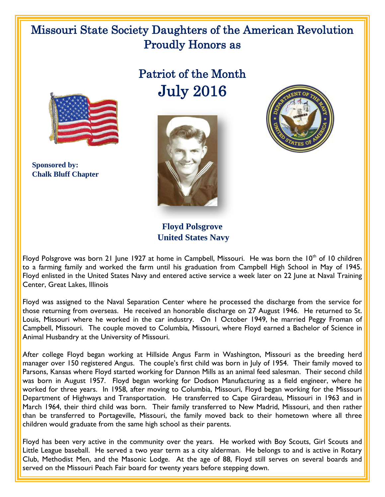## Missouri State Society Daughters of the American Revolution Proudly Honors as

## Patriot of the Month July 2016



 **Sponsored by: Chalk Bluff Chapter**





**Floyd Polsgrove United States Navy**

Floyd Polsgrove was born 21 June 1927 at home in Campbell, Missouri. He was born the 10<sup>th</sup> of 10 children to a farming family and worked the farm until his graduation from Campbell High School in May of 1945. Floyd enlisted in the United States Navy and entered active service a week later on 22 June at Naval Training Center, Great Lakes, Illinois

Floyd was assigned to the Naval Separation Center where he processed the discharge from the service for those returning from overseas. He received an honorable discharge on 27 August 1946. He returned to St. Louis, Missouri where he worked in the car industry. On 1 October 1949, he married Peggy Froman of Campbell, Missouri. The couple moved to Columbia, Missouri, where Floyd earned a Bachelor of Science in Animal Husbandry at the University of Missouri.

After college Floyd began working at Hillside Angus Farm in Washington, Missouri as the breeding herd manager over 150 registered Angus. The couple's first child was born in July of 1954. Their family moved to Parsons, Kansas where Floyd started working for Dannon Mills as an animal feed salesman. Their second child was born in August 1957. Floyd began working for Dodson Manufacturing as a field engineer, where he worked for three years. In 1958, after moving to Columbia, Missouri, Floyd began working for the Missouri Department of Highways and Transportation. He transferred to Cape Girardeau, Missouri in 1963 and in March 1964, their third child was born. Their family transferred to New Madrid, Missouri, and then rather than be transferred to Portageville, Missouri, the family moved back to their hometown where all three children would graduate from the same high school as their parents.

Floyd has been very active in the community over the years. He worked with Boy Scouts, Girl Scouts and Little League baseball. He served a two year term as a city alderman. He belongs to and is active in Rotary Club, Methodist Men, and the Masonic Lodge. At the age of 88, Floyd still serves on several boards and served on the Missouri Peach Fair board for twenty years before stepping down.